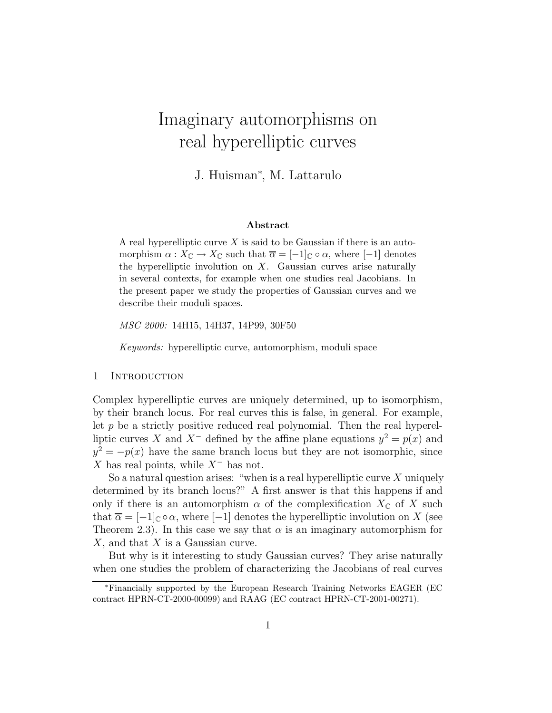# Imaginary automorphisms on real hyperelliptic curves

J. Huisman<sup>∗</sup> , M. Lattarulo

#### Abstract

A real hyperelliptic curve  $X$  is said to be Gaussian if there is an automorphism  $\alpha: X_{\mathbb{C}} \to X_{\mathbb{C}}$  such that  $\overline{\alpha} = [-1]_{\mathbb{C}} \circ \alpha$ , where  $[-1]$  denotes the hyperelliptic involution on  $X$ . Gaussian curves arise naturally in several contexts, for example when one studies real Jacobians. In the present paper we study the properties of Gaussian curves and we describe their moduli spaces.

MSC 2000: 14H15, 14H37, 14P99, 30F50

Keywords: hyperelliptic curve, automorphism, moduli space

## 1 INTRODUCTION

Complex hyperelliptic curves are uniquely determined, up to isomorphism, by their branch locus. For real curves this is false, in general. For example, let  $p$  be a strictly positive reduced real polynomial. Then the real hyperelliptic curves X and X<sup>-</sup> defined by the affine plane equations  $y^2 = p(x)$  and  $y^2 = -p(x)$  have the same branch locus but they are not isomorphic, since X has real points, while  $X^-$  has not.

So a natural question arises: "when is a real hyperelliptic curve  $X$  uniquely determined by its branch locus?" A first answer is that this happens if and only if there is an automorphism  $\alpha$  of the complexification  $X_{\mathbb{C}}$  of X such that  $\overline{\alpha} = [-1]_C \circ \alpha$ , where  $[-1]$  denotes the hyperelliptic involution on X (see Theorem 2.3). In this case we say that  $\alpha$  is an imaginary automorphism for  $X$ , and that  $X$  is a Gaussian curve.

But why is it interesting to study Gaussian curves? They arise naturally when one studies the problem of characterizing the Jacobians of real curves

<sup>∗</sup>Financially supported by the European Research Training Networks EAGER (EC contract HPRN-CT-2000-00099) and RAAG (EC contract HPRN-CT-2001-00271).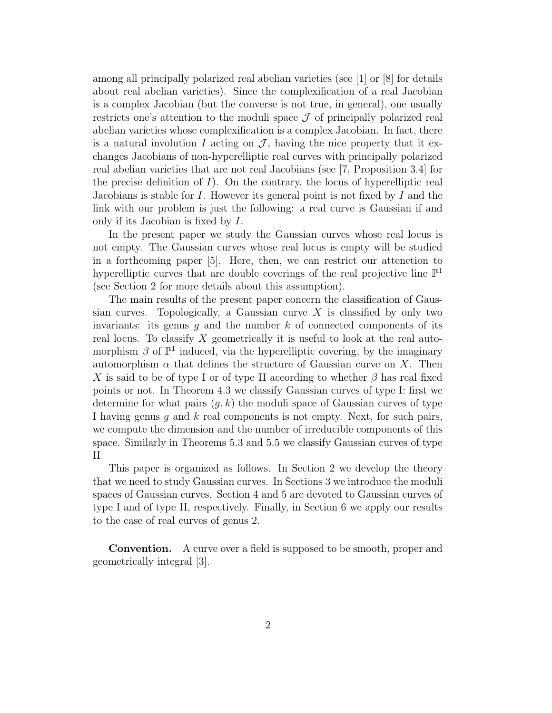among all principally polarized real abelian varieties (see [1] or [8] for details about real abelian varieties). Since the complexification of a real Jacobian is a complex Jacobian (but the converse is not true, in general), one usually restricts one's attention to the moduli space  $\mathcal J$  of principally polarized real abelian varieties whose complexification is a complex Jacobian. In fact, there is a natural involution I acting on  $\mathcal{J}$ , having the nice property that it exchanges Jacobians of non-hyperelliptic real curves with principally polarized real abelian varieties that are not real Jacobians (see [7, Proposition 3.4] for the precise definition of  $I$ ). On the contrary, the locus of hyperelliptic real Jacobians is stable for  $I$ . However its general point is not fixed by  $I$  and the link with our problem is just the following: a real curve is Gaussian if and only if its Jacobian is fixed by I.

In the present paper we study the Gaussian curves whose real locus is not empty. The Gaussian curves whose real locus is empty will be studied in a forthcoming paper [5]. Here, then, we can restrict our attenction to hyperelliptic curves that are double coverings of the real projective line  $\mathbb{P}^1$ (see Section 2 for more details about this assumption).

The main results of the present paper concern the classification of Gaussian curves. Topologically, a Gaussian curve  $X$  is classified by only two invariants: its genus  $g$  and the number  $k$  of connected components of its real locus. To classify X geometrically it is useful to look at the real automorphism  $\beta$  of  $\mathbb{P}^1$  induced, via the hyperelliptic covering, by the imaginary automorphism  $\alpha$  that defines the structure of Gaussian curve on X. Then X is said to be of type I or of type II according to whether  $\beta$  has real fixed points or not. In Theorem 4.3 we classify Gaussian curves of type I: first we determine for what pairs  $(g, k)$  the moduli space of Gaussian curves of type I having genus  $q$  and  $k$  real components is not empty. Next, for such pairs, we compute the dimension and the number of irreducible components of this space. Similarly in Theorems 5.3 and 5.5 we classify Gaussian curves of type II.

This paper is organized as follows. In Section 2 we develop the theory that we need to study Gaussian curves. In Sections 3 we introduce the moduli spaces of Gaussian curves. Section 4 and 5 are devoted to Gaussian curves of type I and of type II, respectively. Finally, in Section 6 we apply our results to the case of real curves of genus 2.

Convention. A curve over a field is supposed to be smooth, proper and geometrically integral [3].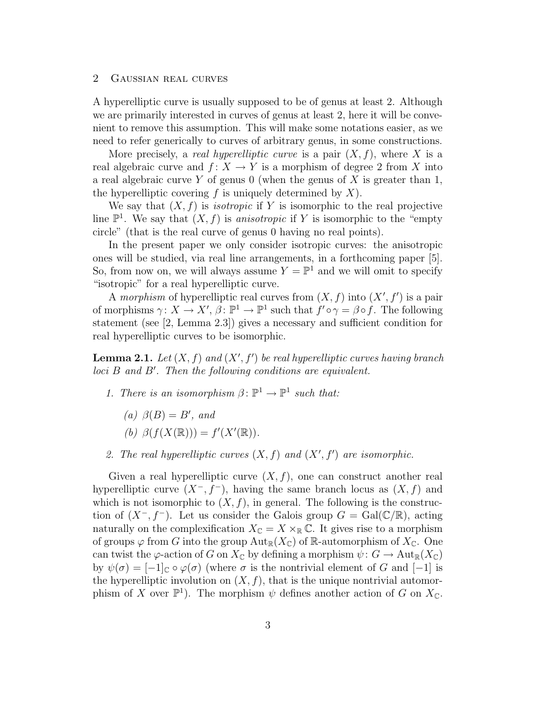## 2 Gaussian real curves

A hyperelliptic curve is usually supposed to be of genus at least 2. Although we are primarily interested in curves of genus at least 2, here it will be convenient to remove this assumption. This will make some notations easier, as we need to refer generically to curves of arbitrary genus, in some constructions.

More precisely, a *real hyperelliptic curve* is a pair  $(X, f)$ , where X is a real algebraic curve and  $f: X \to Y$  is a morphism of degree 2 from X into a real algebraic curve Y of genus 0 (when the genus of X is greater than 1, the hyperelliptic covering f is uniquely determined by  $X$ ).

We say that  $(X, f)$  is *isotropic* if Y is isomorphic to the real projective line  $\mathbb{P}^1$ . We say that  $(X, f)$  is anisotropic if Y is isomorphic to the "empty" circle" (that is the real curve of genus 0 having no real points).

In the present paper we only consider isotropic curves: the anisotropic ones will be studied, via real line arrangements, in a forthcoming paper [5]. So, from now on, we will always assume  $Y = \mathbb{P}^1$  and we will omit to specify "isotropic" for a real hyperelliptic curve.

A morphism of hyperelliptic real curves from  $(X, f)$  into  $(X', f')$  is a pair of morphisms  $\gamma: X \to X', \beta: \mathbb{P}^1 \to \mathbb{P}^1$  such that  $f' \circ \gamma = \beta \circ f$ . The following statement (see [2, Lemma 2.3]) gives a necessary and sufficient condition for real hyperelliptic curves to be isomorphic.

**Lemma 2.1.** Let  $(X, f)$  and  $(X', f')$  be real hyperelliptic curves having branch  $loci$   $B$  and  $B'$ . Then the following conditions are equivalent.

- 1. There is an isomorphism  $\beta \colon \mathbb{P}^1 \to \mathbb{P}^1$  such that:
	- (a)  $\beta(B) = B'$ , and

(b) 
$$
\beta(f(X(\mathbb{R}))) = f'(X'(\mathbb{R})).
$$

2. The real hyperelliptic curves  $(X, f)$  and  $(X', f')$  are isomorphic.

Given a real hyperelliptic curve  $(X, f)$ , one can construct another real hyperelliptic curve  $(X^-, f^-)$ , having the same branch locus as  $(X, f)$  and which is not isomorphic to  $(X, f)$ , in general. The following is the construction of  $(X^-, f^-)$ . Let us consider the Galois group  $G = \text{Gal}(\mathbb{C}/\mathbb{R})$ , acting naturally on the complexification  $X_{\mathbb{C}} = X \times_{\mathbb{R}} \mathbb{C}$ . It gives rise to a morphism of groups  $\varphi$  from G into the group  $Aut_{\mathbb{R}}(X_{\mathbb{C}})$  of R-automorphism of  $X_{\mathbb{C}}$ . One can twist the  $\varphi$ -action of G on  $X_{\mathbb{C}}$  by defining a morphism  $\psi: G \to \text{Aut}_{\mathbb{R}}(X_{\mathbb{C}})$ by  $\psi(\sigma) = [-1]_{\mathbb{C}} \circ \varphi(\sigma)$  (where  $\sigma$  is the nontrivial element of G and  $[-1]$  is the hyperelliptic involution on  $(X, f)$ , that is the unique nontrivial automorphism of X over  $\mathbb{P}^1$ ). The morphism  $\psi$  defines another action of G on  $X_{\mathbb{C}}$ .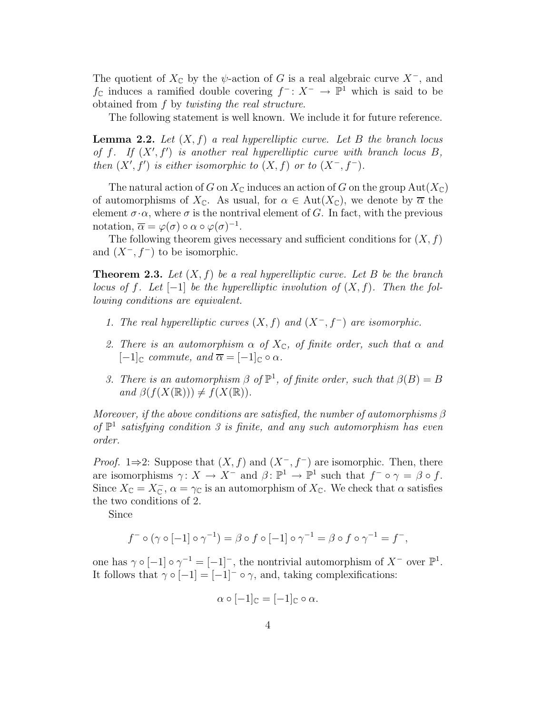The quotient of  $X_{\mathbb{C}}$  by the  $\psi$ -action of G is a real algebraic curve  $X^-$ , and  $f$ <sup> $\text{C}$ </sup> induces a ramified double covering  $f^-: X^-$  →  $\mathbb{P}^1$  which is said to be obtained from f by twisting the real structure.

The following statement is well known. We include it for future reference.

**Lemma 2.2.** Let  $(X, f)$  a real hyperelliptic curve. Let B the branch locus of f. If  $(X', f')$  is another real hyperelliptic curve with branch locus B, then  $(X', f')$  is either isomorphic to  $(X, f)$  or to  $(X^-, f^-)$ .

The natural action of G on  $X_{\mathbb{C}}$  induces an action of G on the group  $Aut(X_{\mathbb{C}})$ of automorphisms of  $X_{\mathbb{C}}$ . As usual, for  $\alpha \in \text{Aut}(X_{\mathbb{C}})$ , we denote by  $\overline{\alpha}$  the element  $\sigma \cdot \alpha$ , where  $\sigma$  is the nontrival element of G. In fact, with the previous notation,  $\overline{\alpha} = \varphi(\sigma) \circ \alpha \circ \varphi(\sigma)^{-1}$ .

The following theorem gives necessary and sufficient conditions for  $(X, f)$ and  $(X^-, f^-)$  to be isomorphic.

**Theorem 2.3.** Let  $(X, f)$  be a real hyperelliptic curve. Let B be the branch locus of f. Let  $[-1]$  be the hyperelliptic involution of  $(X, f)$ . Then the following conditions are equivalent.

- 1. The real hyperelliptic curves  $(X, f)$  and  $(X^-, f^-)$  are isomorphic.
- 2. There is an automorphism  $\alpha$  of  $X_{\mathbb{C}}$ , of finite order, such that  $\alpha$  and  $[-1]_{\mathbb{C}}$  commute, and  $\overline{\alpha} = [-1]_{\mathbb{C}} \circ \alpha$ .
- 3. There is an automorphism  $\beta$  of  $\mathbb{P}^1$ , of finite order, such that  $\beta(B) = B$ and  $\beta(f(X(\mathbb{R}))) \neq f(X(\mathbb{R})).$

Moreover, if the above conditions are satisfied, the number of automorphisms  $\beta$ of  $\mathbb{P}^1$  satisfying condition 3 is finite, and any such automorphism has even order.

*Proof.* 1⇒2: Suppose that  $(X, f)$  and  $(X^-, f^-)$  are isomorphic. Then, there are isomorphisms  $\gamma: X \to X^-$  and  $\beta: \mathbb{P}^1 \to \mathbb{P}^1$  such that  $f^- \circ \gamma = \beta \circ f$ . Since  $X_{\mathbb{C}} = X_{\mathbb{C}}^-, \alpha = \gamma_{\mathbb{C}}$  is an automorphism of  $X_{\mathbb{C}}$ . We check that  $\alpha$  satisfies the two conditions of 2.

Since

$$
f^- \circ (\gamma \circ [-1] \circ \gamma^{-1}) = \beta \circ f \circ [-1] \circ \gamma^{-1} = \beta \circ f \circ \gamma^{-1} = f^-,
$$

one has  $\gamma \circ [-1] \circ \gamma^{-1} = [-1]^-$ , the nontrivial automorphism of  $X^-$  over  $\mathbb{P}^1$ . It follows that  $\gamma \circ [-1] = [-1]^{-} \circ \gamma$ , and, taking complexifications:

$$
\alpha \circ [-1]_{\mathbb{C}} = [-1]_{\mathbb{C}} \circ \alpha.
$$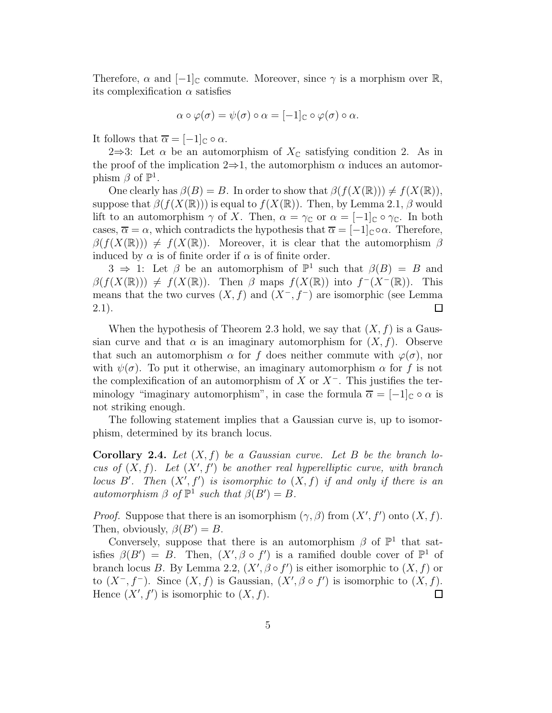Therefore,  $\alpha$  and  $[-1]_C$  commute. Moreover, since  $\gamma$  is a morphism over  $\mathbb{R}$ , its complexification  $\alpha$  satisfies

$$
\alpha \circ \varphi(\sigma) = \psi(\sigma) \circ \alpha = [-1]_{\mathbb{C}} \circ \varphi(\sigma) \circ \alpha.
$$

It follows that  $\overline{\alpha} = [-1]_{\mathbb{C}} \circ \alpha$ .

2⇒3: Let  $\alpha$  be an automorphism of  $X_{\mathbb{C}}$  satisfying condition 2. As in the proof of the implication  $2\Rightarrow 1$ , the automorphism  $\alpha$  induces an automorphism  $\beta$  of  $\mathbb{P}^1$ .

One clearly has  $\beta(B) = B$ . In order to show that  $\beta(f(X(\mathbb{R}))) \neq f(X(\mathbb{R})),$ suppose that  $\beta(f(X(\mathbb{R})))$  is equal to  $f(X(\mathbb{R}))$ . Then, by Lemma 2.1,  $\beta$  would lift to an automorphism  $\gamma$  of X. Then,  $\alpha = \gamma_{\mathbb{C}}$  or  $\alpha = [-1]_{\mathbb{C}} \circ \gamma_{\mathbb{C}}$ . In both cases,  $\overline{\alpha} = \alpha$ , which contradicts the hypothesis that  $\overline{\alpha} = [-1]_{\mathbb{C}} \circ \alpha$ . Therefore,  $\beta(f(X(\mathbb{R}))) \neq f(X(\mathbb{R}))$ . Moreover, it is clear that the automorphism  $\beta$ induced by  $\alpha$  is of finite order if  $\alpha$  is of finite order.

 $3 \Rightarrow 1$ : Let  $\beta$  be an automorphism of  $\mathbb{P}^1$  such that  $\beta(B) = B$  and  $\beta(f(X(\mathbb{R}))) \neq f(X(\mathbb{R}))$ . Then  $\beta$  maps  $f(X(\mathbb{R}))$  into  $f^-(X^-(\mathbb{R}))$ . This means that the two curves  $(X, f)$  and  $(X<sup>-</sup>, f<sup>-</sup>)$  are isomorphic (see Lemma 2.1).  $\Box$ 

When the hypothesis of Theorem 2.3 hold, we say that  $(X, f)$  is a Gaussian curve and that  $\alpha$  is an imaginary automorphism for  $(X, f)$ . Observe that such an automorphism  $\alpha$  for f does neither commute with  $\varphi(\sigma)$ , nor with  $\psi(\sigma)$ . To put it otherwise, an imaginary automorphism  $\alpha$  for f is not the complexification of an automorphism of X or  $X^-$ . This justifies the terminology "imaginary automorphism", in case the formula  $\overline{\alpha} = [-1]_{\mathbb{C}} \circ \alpha$  is not striking enough.

The following statement implies that a Gaussian curve is, up to isomorphism, determined by its branch locus.

**Corollary 2.4.** Let  $(X, f)$  be a Gaussian curve. Let B be the branch locus of  $(X, f)$ . Let  $(X', f')$  be another real hyperelliptic curve, with branch locus B'. Then  $(X', f')$  is isomorphic to  $(X, f)$  if and only if there is an automorphism  $\beta$  of  $\mathbb{P}^1$  such that  $\beta(B') = B$ .

*Proof.* Suppose that there is an isomorphism  $(\gamma, \beta)$  from  $(X', f')$  onto  $(X, f)$ . Then, obviously,  $\beta(B') = B$ .

Conversely, suppose that there is an automorphism  $\beta$  of  $\mathbb{P}^1$  that satisfies  $\beta(B') = B$ . Then,  $(X', \beta \circ f')$  is a ramified double cover of  $\mathbb{P}^1$  of branch locus B. By Lemma 2.2,  $(X', \beta \circ f')$  is either isomorphic to  $(X, f)$  or to  $(X^-, f^-)$ . Since  $(X, f)$  is Gaussian,  $(X', \beta \circ f')$  is isomorphic to  $(X, f)$ . Hence  $(X', f')$  is isomorphic to  $(X, f)$ .  $\Box$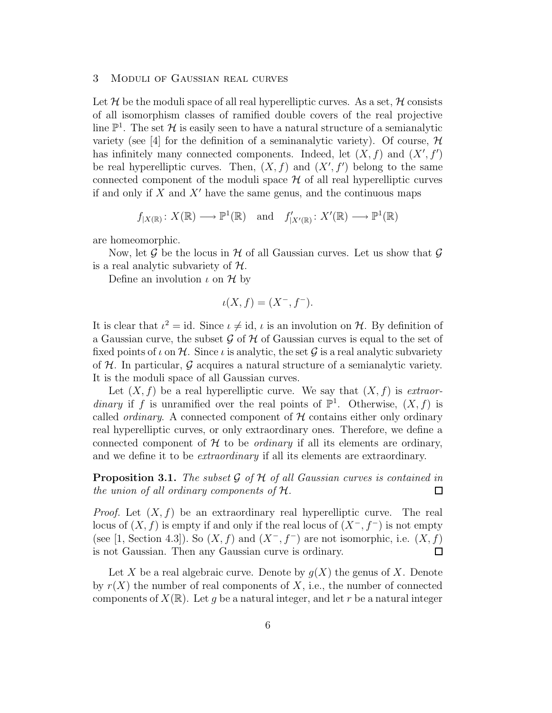### 3 Moduli of Gaussian real curves

Let H be the moduli space of all real hyperelliptic curves. As a set, H consists of all isomorphism classes of ramified double covers of the real projective line  $\mathbb{P}^1$ . The set H is easily seen to have a natural structure of a semianalytic variety (see [4] for the definition of a seminanalytic variety). Of course,  $\mathcal{H}$ has infinitely many connected components. Indeed, let  $(X, f)$  and  $(X', f')$ be real hyperelliptic curves. Then,  $(X, f)$  and  $(X', f')$  belong to the same connected component of the moduli space  $H$  of all real hyperelliptic curves if and only if  $X$  and  $X'$  have the same genus, and the continuous maps

$$
f_{|X(\mathbb{R})}: X(\mathbb{R}) \longrightarrow \mathbb{P}^1(\mathbb{R}) \text{ and } f'_{|X'(\mathbb{R})}: X'(\mathbb{R}) \longrightarrow \mathbb{P}^1(\mathbb{R})
$$

are homeomorphic.

Now, let G be the locus in H of all Gaussian curves. Let us show that  $\mathcal G$ is a real analytic subvariety of  $H$ .

Define an involution  $\iota$  on  $\mathcal H$  by

$$
\iota(X, f) = (X^-, f^-).
$$

It is clear that  $\iota^2 = id$ . Since  $\iota \neq id$ ,  $\iota$  is an involution on H. By definition of a Gaussian curve, the subset  $\mathcal G$  of  $\mathcal H$  of Gaussian curves is equal to the set of fixed points of  $\iota$  on  $\mathcal{H}$ . Since  $\iota$  is analytic, the set  $\mathcal{G}$  is a real analytic subvariety of  $H$ . In particular,  $G$  acquires a natural structure of a semianalytic variety. It is the moduli space of all Gaussian curves.

Let  $(X, f)$  be a real hyperelliptic curve. We say that  $(X, f)$  is extraordinary if f is unramified over the real points of  $\mathbb{P}^1$ . Otherwise,  $(X, f)$  is called *ordinary*. A connected component of  $H$  contains either only ordinary real hyperelliptic curves, or only extraordinary ones. Therefore, we define a connected component of  $H$  to be *ordinary* if all its elements are ordinary, and we define it to be *extraordinary* if all its elements are extraordinary.

**Proposition 3.1.** The subset  $\mathcal{G}$  of  $\mathcal{H}$  of all Gaussian curves is contained in the union of all ordinary components of  $\mathcal{H}$ . the union of all ordinary components of  $H$ .

*Proof.* Let  $(X, f)$  be an extraordinary real hyperelliptic curve. The real locus of  $(X, f)$  is empty if and only if the real locus of  $(X^-, f^-)$  is not empty (see [1, Section 4.3]). So  $(X, f)$  and  $(X^-, f^-)$  are not isomorphic, i.e.  $(X, f)$ is not Gaussian. Then any Gaussian curve is ordinary.  $\Box$ 

Let X be a real algebraic curve. Denote by  $g(X)$  the genus of X. Denote by  $r(X)$  the number of real components of X, i.e., the number of connected components of  $X(\mathbb{R})$ . Let g be a natural integer, and let r be a natural integer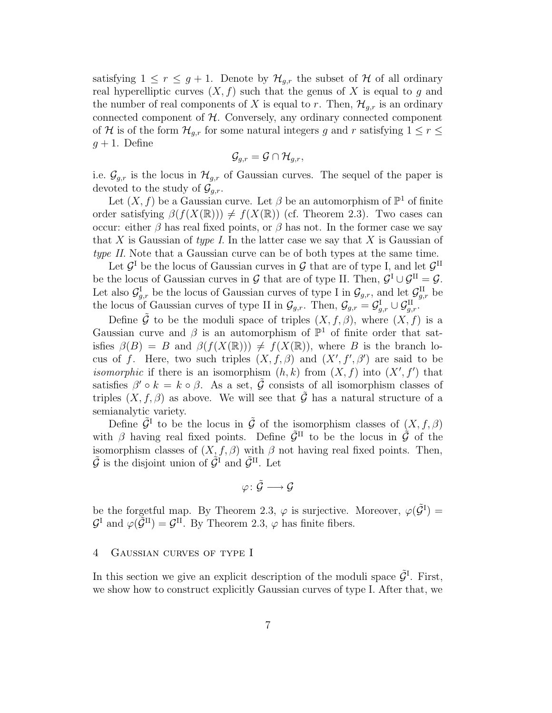satisfying  $1 \leq r \leq g+1$ . Denote by  $\mathcal{H}_{q,r}$  the subset of  $\mathcal H$  of all ordinary real hyperelliptic curves  $(X, f)$  such that the genus of X is equal to g and the number of real components of X is equal to r. Then,  $\mathcal{H}_{q,r}$  is an ordinary connected component of  $H$ . Conversely, any ordinary connected component of H is of the form  $\mathcal{H}_{g,r}$  for some natural integers g and r satisfying  $1 \leq r \leq$  $g + 1$ . Define

$$
\mathcal{G}_{g,r} = \mathcal{G} \cap \mathcal{H}_{g,r},
$$

i.e.  $\mathcal{G}_{g,r}$  is the locus in  $\mathcal{H}_{g,r}$  of Gaussian curves. The sequel of the paper is devoted to the study of  $\mathcal{G}_{a,r}$ .

Let  $(X, f)$  be a Gaussian curve. Let  $\beta$  be an automorphism of  $\mathbb{P}^1$  of finite order satisfying  $\beta(f(X(\mathbb{R}))) \neq f(X(\mathbb{R}))$  (cf. Theorem 2.3). Two cases can occur: either  $\beta$  has real fixed points, or  $\beta$  has not. In the former case we say that X is Gaussian of type I. In the latter case we say that X is Gaussian of type II. Note that a Gaussian curve can be of both types at the same time.

Let  $\mathcal{G}^{\text{I}}$  be the locus of Gaussian curves in  $\mathcal{G}$  that are of type I, and let  $\mathcal{G}^{\text{II}}$ be the locus of Gaussian curves in G that are of type II. Then,  $\mathcal{G}^{\text{I}} \cup \mathcal{G}^{\text{II}} = \mathcal{G}$ . Let also  $\mathcal{G}^{\text{I}}_{g,r}$  be the locus of Gaussian curves of type I in  $\mathcal{G}_{g,r}$ , and let  $\mathcal{G}^{\text{II}}_{g,r}$  be the locus of Gaussian curves of type II in  $\mathcal{G}_{g,r}$ . Then,  $\mathcal{G}_{g,r} = \mathcal{G}_{g,r}^{\mathrm{I}} \cup \mathcal{G}_{g,r}^{\mathrm{II}}$ .

Define  $\tilde{\mathcal{G}}$  to be the moduli space of triples  $(X, f, \beta)$ , where  $(X, f)$  is a Gaussian curve and  $\beta$  is an automorphism of  $\mathbb{P}^1$  of finite order that satisfies  $\beta(B) = B$  and  $\beta(f(X(\mathbb{R}))) \neq f(X(\mathbb{R}))$ , where B is the branch locus of f. Here, two such triples  $(X, f, \beta)$  and  $(X', f', \beta')$  are said to be *isomorphic* if there is an isomorphism  $(h, k)$  from  $(X, f)$  into  $(X', f')$  that satisfies  $\beta' \circ k = k \circ \beta$ . As a set,  $\tilde{\mathcal{G}}$  consists of all isomorphism classes of triples  $(X, f, \beta)$  as above. We will see that  $\tilde{\mathcal{G}}$  has a natural structure of a semianalytic variety.

Define  $\tilde{\mathcal{G}}^{\text{I}}$  to be the locus in  $\tilde{\mathcal{G}}$  of the isomorphism classes of  $(X, f, \beta)$ with  $\beta$  having real fixed points. Define  $\tilde{\mathcal{G}}^{\text{II}}$  to be the locus in  $\tilde{\mathcal{G}}$  of the isomorphism classes of  $(X, f, \beta)$  with  $\beta$  not having real fixed points. Then,  $\tilde{\mathcal{G}}$  is the disjoint union of  $\tilde{\mathcal{G}}^{\mathit{I}}$  and  $\tilde{\mathcal{G}}^{\mathit{II}}$ . Let

$$
\varphi\colon \tilde{\mathcal{G}} \longrightarrow \mathcal{G}
$$

be the forgetful map. By Theorem 2.3,  $\varphi$  is surjective. Moreover,  $\varphi(\tilde{\mathcal{G}}^{\mathcal{I}}) =$  $\mathcal{G}^{\text{I}}$  and  $\varphi(\tilde{\mathcal{G}}^{\text{II}}) = \mathcal{G}^{\text{II}}$ . By Theorem 2.3,  $\varphi$  has finite fibers.

#### 4 Gaussian curves of type I

In this section we give an explicit description of the moduli space  $\tilde{\mathcal{G}}^{\text{I}}$ . First, we show how to construct explicitly Gaussian curves of type I. After that, we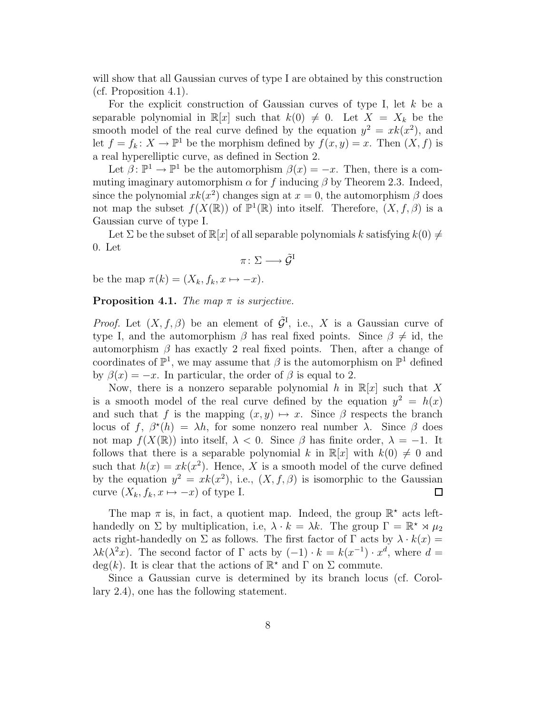will show that all Gaussian curves of type I are obtained by this construction (cf. Proposition 4.1).

For the explicit construction of Gaussian curves of type I, let  $k$  be a separable polynomial in  $\mathbb{R}[x]$  such that  $k(0) \neq 0$ . Let  $X = X_k$  be the smooth model of the real curve defined by the equation  $y^2 = xk(x^2)$ , and let  $f = f_k \colon X \to \mathbb{P}^1$  be the morphism defined by  $f(x, y) = x$ . Then  $(X, f)$  is a real hyperelliptic curve, as defined in Section 2.

Let  $\beta \colon \mathbb{P}^1 \to \mathbb{P}^1$  be the automorphism  $\beta(x) = -x$ . Then, there is a commuting imaginary automorphism  $\alpha$  for f inducing  $\beta$  by Theorem 2.3. Indeed, since the polynomial  $x k(x^2)$  changes sign at  $x = 0$ , the automorphism  $\beta$  does not map the subset  $f(X(\mathbb{R}))$  of  $\mathbb{P}^1(\mathbb{R})$  into itself. Therefore,  $(X, f, \beta)$  is a Gaussian curve of type I.

Let  $\Sigma$  be the subset of  $\mathbb{R}[x]$  of all separable polynomials k satisfying  $k(0) \neq 0$ 0. Let

$$
\pi\colon \Sigma\longrightarrow \tilde{\mathcal{G}}^{\mathrm{I}}
$$

be the map  $\pi(k) = (X_k, f_k, x \mapsto -x)$ .

**Proposition 4.1.** The map  $\pi$  is surjective.

*Proof.* Let  $(X, f, \beta)$  be an element of  $\tilde{\mathcal{G}}^{\mathsf{I}}$ , i.e., X is a Gaussian curve of type I, and the automorphism  $\beta$  has real fixed points. Since  $\beta \neq id$ , the automorphism  $\beta$  has exactly 2 real fixed points. Then, after a change of coordinates of  $\mathbb{P}^1$ , we may assume that  $\beta$  is the automorphism on  $\mathbb{P}^1$  defined by  $\beta(x) = -x$ . In particular, the order of  $\beta$  is equal to 2.

Now, there is a nonzero separable polynomial h in  $\mathbb{R}[x]$  such that X is a smooth model of the real curve defined by the equation  $y^2 = h(x)$ and such that f is the mapping  $(x, y) \mapsto x$ . Since  $\beta$  respects the branch locus of f,  $\beta^*(h) = \lambda h$ , for some nonzero real number  $\lambda$ . Since  $\beta$  does not map  $f(X(\mathbb{R}))$  into itself,  $\lambda < 0$ . Since  $\beta$  has finite order,  $\lambda = -1$ . It follows that there is a separable polynomial k in  $\mathbb{R}[x]$  with  $k(0) \neq 0$  and such that  $h(x) = xk(x^2)$ . Hence, X is a smooth model of the curve defined by the equation  $y^2 = xk(x^2)$ , i.e.,  $(X, f, \beta)$  is isomorphic to the Gaussian curve  $(X_k, f_k, x \mapsto -x)$  of type I.  $\Box$ 

The map  $\pi$  is, in fact, a quotient map. Indeed, the group  $\mathbb{R}^*$  acts lefthandedly on  $\Sigma$  by multiplication, i.e,  $\lambda \cdot k = \lambda k$ . The group  $\Gamma = \mathbb{R}^* \rtimes \mu_2$ acts right-handedly on  $\Sigma$  as follows. The first factor of  $\Gamma$  acts by  $\lambda \cdot k(x) =$  $\lambda k(\lambda^2 x)$ . The second factor of  $\Gamma$  acts by  $(-1) \cdot k = k(x^{-1}) \cdot x^d$ , where  $d =$ deg(k). It is clear that the actions of  $\mathbb{R}^*$  and  $\Gamma$  on  $\Sigma$  commute.

Since a Gaussian curve is determined by its branch locus (cf. Corollary 2.4), one has the following statement.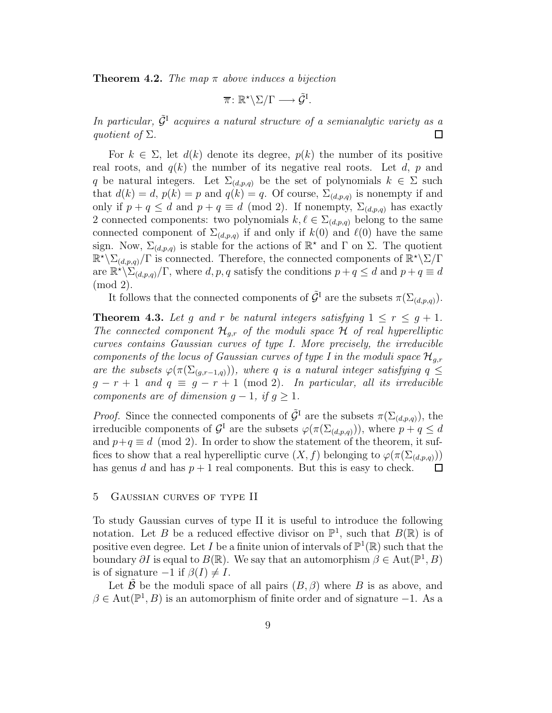**Theorem 4.2.** The map  $\pi$  above induces a bijection

$$
\overline{\pi} \colon \mathbb{R}^* \backslash \Sigma / \Gamma \longrightarrow \tilde{\mathcal{G}}^{\mathrm{I}}.
$$

In particular,  $\tilde{\mathcal{G}}^{\text{I}}$  acquires a natural structure of a semianalytic variety as a quotient of  $\Sigma$ . quotient of  $\Sigma$ .

For  $k \in \Sigma$ , let  $d(k)$  denote its degree,  $p(k)$  the number of its positive real roots, and  $q(k)$  the number of its negative real roots. Let d, p and q be natural integers. Let  $\Sigma_{(d,p,q)}$  be the set of polynomials  $k \in \Sigma$  such that  $d(k) = d$ ,  $p(k) = p$  and  $q(k) = q$ . Of course,  $\Sigma_{(d,p,q)}$  is nonempty if and only if  $p + q \leq d$  and  $p + q \equiv d \pmod{2}$ . If nonempty,  $\Sigma_{(d,p,q)}$  has exactly 2 connected components: two polynomials  $k, \ell \in \Sigma_{(d,p,q)}$  belong to the same connected component of  $\Sigma_{(d,p,q)}$  if and only if  $k(0)$  and  $\ell(0)$  have the same sign. Now,  $\Sigma_{(d,p,q)}$  is stable for the actions of  $\mathbb{R}^*$  and  $\Gamma$  on  $\Sigma$ . The quotient  $\mathbb{R}^{\star}\backslash\Sigma_{(d,p,q)}/\Gamma$  is connected. Therefore, the connected components of  $\mathbb{R}^{\star}\backslash\Sigma/\Gamma$ are  $\mathbb{R}^{\star}\backslash \Sigma_{(d,p,q)}/\Gamma$ , where d, p, q satisfy the conditions  $p+q \leq d$  and  $p+q \equiv d$ (mod 2).

It follows that the connected components of  $\tilde{\mathcal{G}}^{\text{I}}$  are the subsets  $\pi(\Sigma_{(d,p,q)})$ .

**Theorem 4.3.** Let g and r be natural integers satisfying  $1 \leq r \leq g+1$ . The connected component  $\mathcal{H}_{q,r}$  of the moduli space  $\mathcal H$  of real hyperelliptic curves contains Gaussian curves of type I. More precisely, the irreducible components of the locus of Gaussian curves of type I in the moduli space  $\mathcal{H}_{q,r}$ are the subsets  $\varphi(\pi(\Sigma_{(g,r-1,q)}))$ , where q is a natural integer satisfying  $q \leq$  $g - r + 1$  and  $q \equiv g - r + 1 \pmod{2}$ . In particular, all its irreducible components are of dimension  $g - 1$ , if  $g \geq 1$ .

*Proof.* Since the connected components of  $\tilde{\mathcal{G}}^{\mathcal{I}}$  are the subsets  $\pi(\Sigma_{(d,p,q)})$ , the irreducible components of  $\mathcal{G}^{\text{I}}$  are the subsets  $\varphi(\pi(\Sigma_{(d,p,q)}))$ , where  $p+q \leq d$ and  $p+q \equiv d \pmod{2}$ . In order to show the statement of the theorem, it suffices to show that a real hyperelliptic curve  $(X, f)$  belonging to  $\varphi(\pi(\Sigma_{(d,p,q)}))$ has genus d and has  $p + 1$  real components. But this is easy to check.  $\Box$ 

#### 5 Gaussian curves of type II

To study Gaussian curves of type II it is useful to introduce the following notation. Let B be a reduced effective divisor on  $\mathbb{P}^1$ , such that  $B(\mathbb{R})$  is of positive even degree. Let I be a finite union of intervals of  $\mathbb{P}^1(\mathbb{R})$  such that the boundary  $\partial I$  is equal to  $B(\mathbb{R})$ . We say that an automorphism  $\beta \in \text{Aut}(\mathbb{P}^1, B)$ is of signature  $-1$  if  $\beta(I) \neq I$ .

Let  $\hat{\mathcal{B}}$  be the moduli space of all pairs  $(B, \beta)$  where B is as above, and  $\beta \in \text{Aut}(\mathbb{P}^1, B)$  is an automorphism of finite order and of signature -1. As a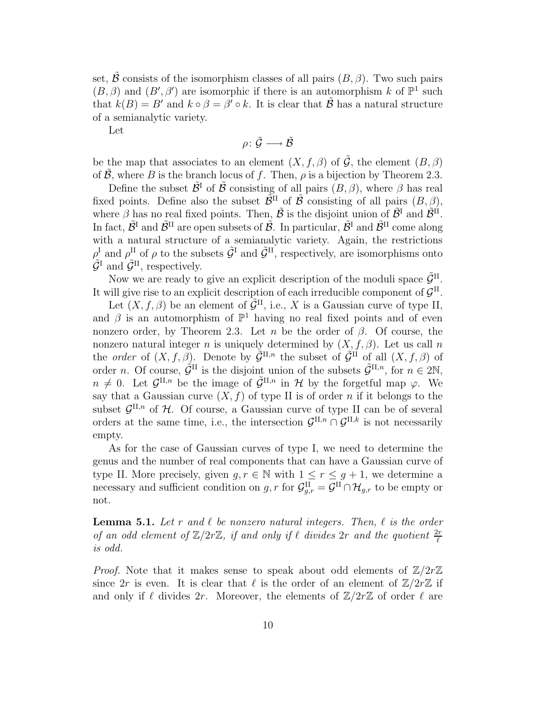set, B consists of the isomorphism classes of all pairs  $(B, \beta)$ . Two such pairs  $(B, \beta)$  and  $(B', \beta')$  are isomorphic if there is an automorphism k of  $\mathbb{P}^1$  such that  $k(B) = B'$  and  $k \circ \beta = \beta' \circ k$ . It is clear that  $\tilde{\mathcal{B}}$  has a natural structure of a semianalytic variety.

Let

$$
\rho\colon \tilde{\mathcal{G}} \longrightarrow \tilde{\mathcal{B}}
$$

be the map that associates to an element  $(X, f, \beta)$  of  $\tilde{G}$ , the element  $(B, \beta)$ of  $\hat{\mathcal{B}}$ , where B is the branch locus of f. Then,  $\rho$  is a bijection by Theorem 2.3.

Define the subset  $\tilde{\mathcal{B}}^{\text{I}}$  of  $\tilde{\mathcal{B}}$  consisting of all pairs  $(B, \beta)$ , where  $\beta$  has real fixed points. Define also the subset  $\tilde{\mathcal{B}}^{II}$  of  $\tilde{\mathcal{B}}$  consisting of all pairs  $(B, \beta)$ , where  $\beta$  has no real fixed points. Then,  $\tilde{\beta}$  is the disjoint union of  $\tilde{\beta}^{\text{I}}$  and  $\tilde{\beta}^{\text{II}}$ . In fact,  $\tilde{\mathcal{B}}^I$  and  $\tilde{\mathcal{B}}^{II}$  are open subsets of  $\tilde{\mathcal{B}}$ . In particular,  $\tilde{\mathcal{B}}^I$  and  $\tilde{\mathcal{B}}^{II}$  come along with a natural structure of a semianalytic variety. Again, the restrictions  $\rho^{\rm I}_{\tilde{\sigma}^{\rm I}}$  and  $\rho^{\rm II}$  of  $\rho$  to the subsets  $\tilde{\mathcal{G}}^{\rm I}$  and  $\tilde{\mathcal{G}}^{\rm II}$ , respectively, are isomorphisms onto  $\tilde{\mathcal{G}}^{\text{I}}$  and  $\tilde{\mathcal{G}}^{\text{II}}$ , respectively.

Now we are ready to give an explicit description of the moduli space  $\tilde{\mathcal{G}}^{\text{II}}$ . It will give rise to an explicit description of each irreducible component of  $\mathcal{G}^{\text{II}}$ .

Let  $(X, f, \beta)$  be an element of  $\tilde{\mathcal{G}}^{\text{II}}$ , i.e., X is a Gaussian curve of type II, and  $\beta$  is an automorphism of  $\mathbb{P}^1$  having no real fixed points and of even nonzero order, by Theorem 2.3. Let n be the order of  $\beta$ . Of course, the nonzero natural integer n is uniquely determined by  $(X, f, \beta)$ . Let us call n the *order* of  $(X, f, \beta)$ . Denote by  $\tilde{\mathcal{G}}^{\Pi,n}$  the subset of  $\tilde{\mathcal{G}}^{\Pi}$  of all  $(X, f, \beta)$  of order *n*. Of course,  $\tilde{\mathcal{G}}^{\text{II}}$  is the disjoint union of the subsets  $\tilde{\mathcal{G}}^{\text{II},n}$ , for  $n \in 2\mathbb{N}$ ,  $n \neq 0$ . Let  $\mathcal{G}^{\Pi,n}$  be the image of  $\tilde{\mathcal{G}}^{\Pi,n}$  in H by the forgetful map  $\varphi$ . We say that a Gaussian curve  $(X, f)$  of type II is of order n if it belongs to the subset  $\mathcal{G}^{\Pi,n}$  of  $\mathcal{H}$ . Of course, a Gaussian curve of type II can be of several orders at the same time, i.e., the intersection  $\mathcal{G}^{\Pi,n} \cap \mathcal{G}^{\Pi,k}$  is not necessarily empty.

As for the case of Gaussian curves of type I, we need to determine the genus and the number of real components that can have a Gaussian curve of type II. More precisely, given  $g, r \in \mathbb{N}$  with  $1 \leq r \leq g+1$ , we determine a necessary and sufficient condition on  $g, r$  for  $\mathcal{G}^{\text{II}}_{g,r} = \mathcal{G}^{\text{II}} \cap \mathcal{H}_{g,r}$  to be empty or not.

**Lemma 5.1.** Let r and  $\ell$  be nonzero natural integers. Then,  $\ell$  is the order of an odd element of  $\mathbb{Z}/2r\mathbb{Z}$ , if and only if  $\ell$  divides  $2r$  and the quotient  $\frac{2r}{\ell}$ is odd.

*Proof.* Note that it makes sense to speak about odd elements of  $\mathbb{Z}/2r\mathbb{Z}$ since  $2r$  is even. It is clear that  $\ell$  is the order of an element of  $\mathbb{Z}/2r\mathbb{Z}$  if and only if  $\ell$  divides 2r. Moreover, the elements of  $\mathbb{Z}/2r\mathbb{Z}$  of order  $\ell$  are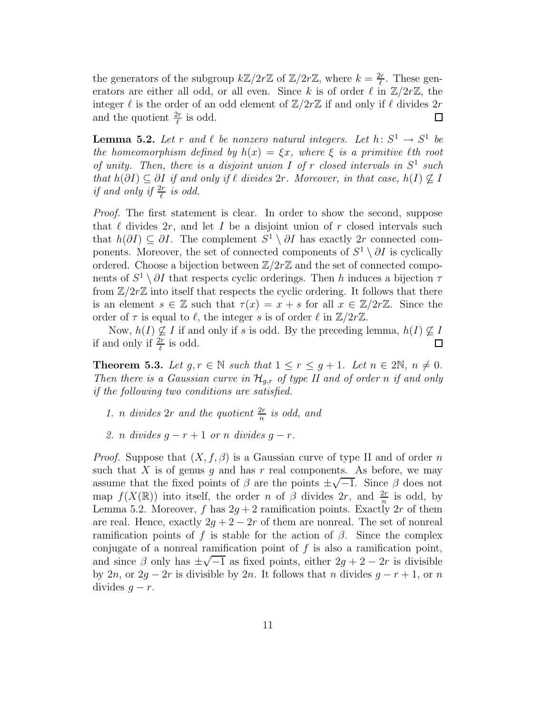the generators of the subgroup  $k\mathbb{Z}/2r\mathbb{Z}$  of  $\mathbb{Z}/2r\mathbb{Z}$ , where  $k=\frac{2r}{\ell}$  $\frac{2r}{\ell}$ . These generators are either all odd, or all even. Since k is of order  $\ell$  in  $\mathbb{Z}/2r\mathbb{Z}$ , the integer  $\ell$  is the order of an odd element of  $\mathbb{Z}/2r\mathbb{Z}$  if and only if  $\ell$  divides  $2r$ and the quotient  $\frac{2r}{\ell}$  $\frac{2r}{\ell}$  is odd.  $\Box$ 

**Lemma 5.2.** Let r and  $\ell$  be nonzero natural integers. Let  $h: S^1 \to S^1$  be the homeomorphism defined by  $h(x) = \xi x$ , where  $\xi$  is a primitive  $\ell$ th root of unity. Then, there is a disjoint union I of r closed intervals in  $S^1$  such that  $h(\partial I) \subseteq \partial I$  if and only if  $\ell$  divides  $2r$ . Moreover, in that case,  $h(I) \nsubseteq I$ if and only if  $\frac{2r}{\ell}$  is odd.

Proof. The first statement is clear. In order to show the second, suppose that  $\ell$  divides 2r, and let I be a disjoint union of r closed intervals such that  $h(\partial I) \subseteq \partial I$ . The complement  $S^1 \setminus \partial I$  has exactly 2r connected components. Moreover, the set of connected components of  $S^1 \setminus \partial I$  is cyclically ordered. Choose a bijection between  $\mathbb{Z}/2r\mathbb{Z}$  and the set of connected components of  $S^1 \setminus \partial I$  that respects cyclic orderings. Then h induces a bijection  $\tau$ from  $\mathbb{Z}/2r\mathbb{Z}$  into itself that respects the cyclic ordering. It follows that there is an element  $s \in \mathbb{Z}$  such that  $\tau(x) = x + s$  for all  $x \in \mathbb{Z}/2r\mathbb{Z}$ . Since the order of  $\tau$  is equal to  $\ell$ , the integer s is of order  $\ell$  in  $\mathbb{Z}/2r\mathbb{Z}$ .

Now,  $h(I) \nsubseteq I$  if and only if s is odd. By the preceding lemma,  $h(I) \nsubseteq I$ <br>nd only if  $\frac{2\pi}{I}$  is odd. if and only if  $\frac{2r}{\ell}$  is odd.

**Theorem 5.3.** Let  $g, r \in \mathbb{N}$  such that  $1 \leq r \leq g+1$ . Let  $n \in 2\mathbb{N}$ ,  $n \neq 0$ . Then there is a Gaussian curve in  $\mathcal{H}_{g,r}$  of type II and of order n if and only if the following two conditions are satisfied.

- 1. *n* divides  $2r$  and the quotient  $\frac{2r}{n}$  is odd, and
- 2. n divides  $q r + 1$  or n divides  $q r$ .

*Proof.* Suppose that  $(X, f, \beta)$  is a Gaussian curve of type II and of order n such that  $X$  is of genus  $g$  and has  $r$  real components. As before, we may assume that the fixed points of  $\beta$  are the points  $\pm \sqrt{-1}$ . Since  $\beta$  does not map  $f(X(\mathbb{R}))$  into itself, the order n of  $\beta$  divides  $2r$ , and  $\frac{2r}{n}$  is odd, by Lemma 5.2. Moreover, f has  $2g + 2$  ramification points. Exactly 2r of them are real. Hence, exactly  $2g + 2 - 2r$  of them are nonreal. The set of nonreal ramification points of f is stable for the action of  $\beta$ . Since the complex conjugate of a nonreal ramification point of  $f$  is also a ramification point, and since  $\beta$  only has  $\pm \sqrt{-1}$  as fixed points, either  $2g + 2 - 2r$  is divisible by 2n, or  $2g - 2r$  is divisible by 2n. It follows that n divides  $g - r + 1$ , or n divides  $g - r$ .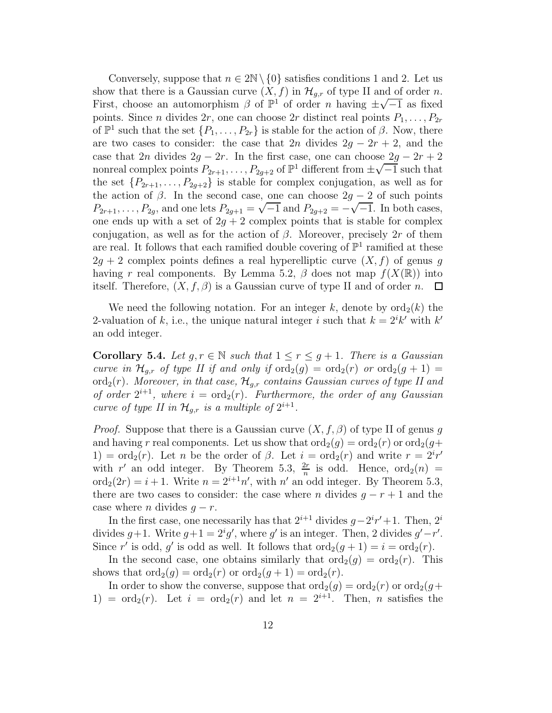Conversely, suppose that  $n \in 2\mathbb{N} \setminus \{0\}$  satisfies conditions 1 and 2. Let us show that there is a Gaussian curve  $(X, f)$  in  $\mathcal{H}_{q,r}$  of type II and of order n. First, choose an automorphism  $\beta$  of  $\mathbb{P}^1$  of order *n* having  $\pm \sqrt{-1}$  as fixed points. Since *n* divides 2*r*, one can choose 2*r* distinct real points  $P_1, \ldots, P_{2r}$ of  $\mathbb{P}^1$  such that the set  $\{P_1, \ldots, P_{2r}\}$  is stable for the action of  $\beta$ . Now, there are two cases to consider: the case that  $2n$  divides  $2g - 2r + 2$ , and the case that 2n divides  $2g - 2r$ . In the first case, one can choose  $2g - 2r + 2$ nonreal complex points  $P_{2r+1}, \ldots, P_{2g+2}$  of  $\mathbb{P}^1$  different from  $\pm \sqrt{-1}$  such that the set  $\{P_{2r+1}, \ldots, P_{2g+2}\}\$ is stable for complex conjugation, as well as for the action of  $\beta$ . In the second case, one can choose  $2g - 2$  of such points  $P_{2r+1}, \ldots, P_{2g}$ , and one lets  $P_{2g+1} = \sqrt{-1}$  and  $P_{2g+2} = -\sqrt{-1}$ . In both cases, one ends up with a set of  $2g + 2$  complex points that is stable for complex conjugation, as well as for the action of  $\beta$ . Moreover, precisely 2r of them are real. It follows that each ramified double covering of  $\mathbb{P}^1$  ramified at these  $2g + 2$  complex points defines a real hyperelliptic curve  $(X, f)$  of genus g having r real components. By Lemma 5.2,  $\beta$  does not map  $f(X(\mathbb{R}))$  into itself. Therefore,  $(X, f, \beta)$  is a Gaussian curve of type II and of order n.  $\Box$ 

We need the following notation. For an integer k, denote by  $\text{ord}_2(k)$  the 2-valuation of k, i.e., the unique natural integer i such that  $k = 2^{i}k'$  with k' an odd integer.

**Corollary 5.4.** Let  $g, r \in \mathbb{N}$  such that  $1 \leq r \leq g+1$ . There is a Gaussian curve in  $\mathcal{H}_{q,r}$  of type II if and only if  $\text{ord}_2(g) = \text{ord}_2(r)$  or  $\text{ord}_2(g+1) =$ ord<sub>2</sub>(r). Moreover, in that case,  $\mathcal{H}_{g,r}$  contains Gaussian curves of type II and of order  $2^{i+1}$ , where  $i = \text{ord}_2(r)$ . Furthermore, the order of any Gaussian curve of type II in  $\mathcal{H}_{g,r}$  is a multiple of  $2^{i+1}$ .

*Proof.* Suppose that there is a Gaussian curve  $(X, f, \beta)$  of type II of genus g and having r real components. Let us show that  $\text{ord}_2(g) = \text{ord}_2(r)$  or  $\text{ord}_2(g)$ + 1) =  $\text{ord}_2(r)$ . Let n be the order of  $\beta$ . Let  $i = \text{ord}_2(r)$  and write  $r = 2^i r'$ with r' an odd integer. By Theorem 5.3,  $\frac{2r}{n}$  is odd. Hence,  $\text{ord}_2(n)$  =  $\text{ord}_2(2r) = i + 1$ . Write  $n = 2^{i+1}n'$ , with  $n'$  an odd integer. By Theorem 5.3, there are two cases to consider: the case where n divides  $q - r + 1$  and the case where *n* divides  $g - r$ .

In the first case, one necessarily has that  $2^{i+1}$  divides  $g-2^{i}r'+1$ . Then,  $2^{i}$ divides  $g+1$ . Write  $g+1=2^ig'$ , where g' is an integer. Then, 2 divides  $g'-r'$ . Since r' is odd, g' is odd as well. It follows that  $\text{ord}_2(g + 1) = i = \text{ord}_2(r)$ .

In the second case, one obtains similarly that  $\text{ord}_2(g) = \text{ord}_2(r)$ . This shows that  $\text{ord}_2(g) = \text{ord}_2(r)$  or  $\text{ord}_2(g+1) = \text{ord}_2(r)$ .

In order to show the converse, suppose that  $\text{ord}_2(q) = \text{ord}_2(r)$  or  $\text{ord}_2(q+$ 1) =  $\text{ord}_2(r)$ . Let  $i = \text{ord}_2(r)$  and let  $n = 2^{i+1}$ . Then, *n* satisfies the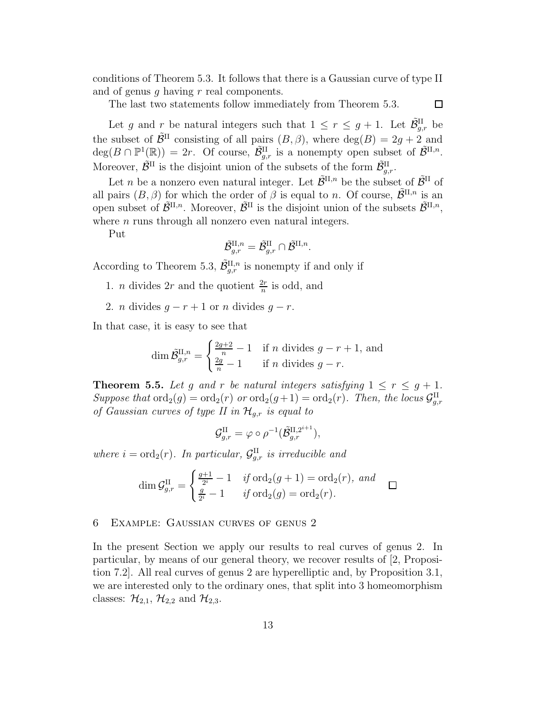conditions of Theorem 5.3. It follows that there is a Gaussian curve of type II and of genus q having  $r$  real components.

The last two statements follow immediately from Theorem 5.3.

 $\Box$ 

Let g and r be natural integers such that  $1 \leq r \leq g+1$ . Let  $\tilde{\mathcal{B}}_{g,r}^{\text{II}}$  be the subset of  $\tilde{\mathcal{B}}^{\text{II}}$  consisting of all pairs  $(B, \beta)$ , where  $\deg(B) = 2g + 2$  and  $deg(B \cap \mathbb{P}^1(\mathbb{R})) = 2r$ . Of course,  $\tilde{\mathcal{B}}_{g,r}^{\text{II}}$  is a nonempty open subset of  $\tilde{\mathcal{B}}^{\text{II},n}$ . Moreover,  $\tilde{\mathcal{B}}^{\text{II}}$  is the disjoint union of the subsets of the form  $\tilde{\mathcal{B}}_{g,r}^{\text{II}}$ .

Let *n* be a nonzero even natural integer. Let  $\tilde{\mathcal{B}}^{\text{II},n}$  be the subset of  $\tilde{\mathcal{B}}^{\text{II}}$  of all pairs  $(B, \beta)$  for which the order of  $\beta$  is equal to n. Of course,  $\tilde{\mathcal{B}}^{\text{II},n}$  is an open subset of  $\tilde{\mathcal{B}}^{\text{II},n}$ . Moreover,  $\tilde{\mathcal{B}}^{\text{II}}$  is the disjoint union of the subsets  $\tilde{\mathcal{B}}^{\text{II},n}$ , where  $n$  runs through all nonzero even natural integers.

Put

$$
\tilde{\mathcal{B}}_{g,r}^{\mathrm{II},n} = \tilde{\mathcal{B}}_{g,r}^{\mathrm{II}} \cap \tilde{\mathcal{B}}^{\mathrm{II},n}.
$$

According to Theorem 5.3,  $\tilde{\mathcal{B}}_{g,r}^{\text{II},n}$  is nonempty if and only if

- 1. *n* divides 2*r* and the quotient  $\frac{2r}{n}$  $\frac{2r}{n}$  is odd, and
- 2. *n* divides  $g r + 1$  or *n* divides  $g r$ .

In that case, it is easy to see that

$$
\dim \tilde{\mathcal{B}}_{g,r}^{\mathrm{II},n} = \begin{cases} \frac{2g+2}{n} - 1 & \text{if } n \text{ divides } g - r + 1, \text{ and} \\ \frac{2g}{n} - 1 & \text{if } n \text{ divides } g - r. \end{cases}
$$

**Theorem 5.5.** Let g and r be natural integers satisfying  $1 \leq r \leq g + 1$ . Suppose that  $\text{ord}_2(g) = \text{ord}_2(r)$  or  $\text{ord}_2(g+1) = \text{ord}_2(r)$ . Then, the locus  $\mathcal{G}_{g,r}^{\text{II}}$ of Gaussian curves of type II in  $\mathcal{H}_{g,r}$  is equal to

$$
\mathcal{G}_{g,r}^{\text{II}} = \varphi \circ \rho^{-1}(\tilde{\mathcal{B}}_{g,r}^{\text{II},2^{i+1}}),
$$

where  $i = \text{ord}_2(r)$ . In particular,  $\mathcal{G}^{\text{II}}_{g,r}$  is irreducible and

$$
\dim \mathcal{G}_{g,r}^{\text{II}} = \begin{cases} \frac{g+1}{2^i} - 1 & \text{if } \text{ord}_2(g+1) = \text{ord}_2(r), \text{ and} \\ \frac{g}{2^i} - 1 & \text{if } \text{ord}_2(g) = \text{ord}_2(r). \end{cases} \square
$$

### 6 Example: Gaussian curves of genus 2

In the present Section we apply our results to real curves of genus 2. In particular, by means of our general theory, we recover results of [2, Proposition 7.2]. All real curves of genus 2 are hyperelliptic and, by Proposition 3.1, we are interested only to the ordinary ones, that split into 3 homeomorphism classes:  $\mathcal{H}_{2,1}$ ,  $\mathcal{H}_{2,2}$  and  $\mathcal{H}_{2,3}$ .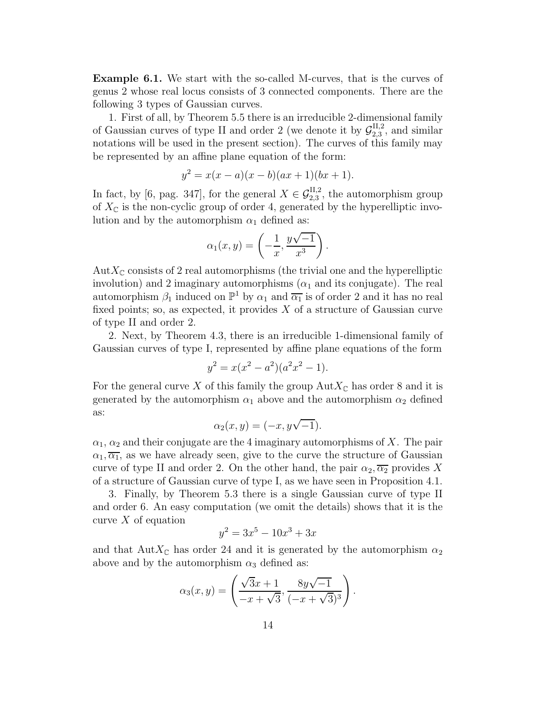Example 6.1. We start with the so-called M-curves, that is the curves of genus 2 whose real locus consists of 3 connected components. There are the following 3 types of Gaussian curves.

1. First of all, by Theorem 5.5 there is an irreducible 2-dimensional family of Gaussian curves of type II and order 2 (we denote it by  $\mathcal{G}_{2,3}^{\text{II},2}$  $_{2,3}^{\text{II},2}$ , and similar notations will be used in the present section). The curves of this family may be represented by an affine plane equation of the form:

$$
y^2 = x(x - a)(x - b)(ax + 1)(bx + 1).
$$

In fact, by [6, pag. 347], for the general  $X \in \mathcal{G}_{2,3}^{\text{II},2}$  $_{2,3}^{\text{II},2}$ , the automorphism group of  $X_{\mathbb{C}}$  is the non-cyclic group of order 4, generated by the hyperelliptic involution and by the automorphism  $\alpha_1$  defined as:

$$
\alpha_1(x,y) = \left(-\frac{1}{x}, \frac{y\sqrt{-1}}{x^3}\right).
$$

 $AutX_{\mathbb{C}}$  consists of 2 real automorphisms (the trivial one and the hyperelliptic involution) and 2 imaginary automorphisms  $(\alpha_1$  and its conjugate). The real automorphism  $\beta_1$  induced on  $\mathbb{P}^1$  by  $\alpha_1$  and  $\overline{\alpha_1}$  is of order 2 and it has no real fixed points; so, as expected, it provides  $X$  of a structure of Gaussian curve of type II and order 2.

2. Next, by Theorem 4.3, there is an irreducible 1-dimensional family of Gaussian curves of type I, represented by affine plane equations of the form

$$
y^2 = x(x^2 - a^2)(a^2x^2 - 1).
$$

For the general curve X of this family the group  $Aut X_{\mathbb{C}}$  has order 8 and it is generated by the automorphism  $\alpha_1$  above and the automorphism  $\alpha_2$  defined as:

$$
\alpha_2(x, y) = (-x, y\sqrt{-1}).
$$

 $\alpha_1, \alpha_2$  and their conjugate are the 4 imaginary automorphisms of X. The pair  $\alpha_1, \overline{\alpha_1}$ , as we have already seen, give to the curve the structure of Gaussian curve of type II and order 2. On the other hand, the pair  $\alpha_2, \overline{\alpha_2}$  provides X of a structure of Gaussian curve of type I, as we have seen in Proposition 4.1.

3. Finally, by Theorem 5.3 there is a single Gaussian curve of type II and order 6. An easy computation (we omit the details) shows that it is the curve  $X$  of equation

$$
y^2 = 3x^5 - 10x^3 + 3x
$$

and that AutX<sub>C</sub> has order 24 and it is generated by the automorphism  $\alpha_2$ above and by the automorphism  $\alpha_3$  defined as:

$$
\alpha_3(x, y) = \left(\frac{\sqrt{3}x + 1}{-x + \sqrt{3}}, \frac{8y\sqrt{-1}}{(-x + \sqrt{3})^3}\right).
$$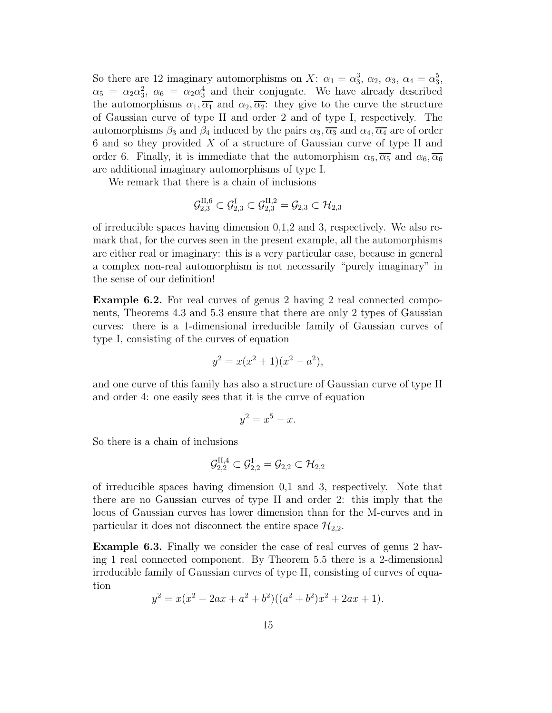So there are 12 imaginary automorphisms on X:  $\alpha_1 = \alpha_3^3$ ,  $\alpha_2$ ,  $\alpha_3$ ,  $\alpha_4 = \alpha_3^5$ ,  $\alpha_5 = \alpha_2 \alpha_3^2$ ,  $\alpha_6 = \alpha_2 \alpha_3^4$  and their conjugate. We have already described the automorphisms  $\alpha_1, \overline{\alpha_1}$  and  $\alpha_2, \overline{\alpha_2}$ : they give to the curve the structure of Gaussian curve of type II and order 2 and of type I, respectively. The automorphisms  $\beta_3$  and  $\beta_4$  induced by the pairs  $\alpha_3, \overline{\alpha_3}$  and  $\alpha_4, \overline{\alpha_4}$  are of order  $6$  and so they provided  $X$  of a structure of Gaussian curve of type II and order 6. Finally, it is immediate that the automorphism  $\alpha_5$ ,  $\overline{\alpha_5}$  and  $\alpha_6$ ,  $\overline{\alpha_6}$ are additional imaginary automorphisms of type I.

We remark that there is a chain of inclusions

$$
\mathcal{G}^{\text{II},6}_{2,3} \subset \mathcal{G}^{\text{I}}_{2,3} \subset \mathcal{G}^{\text{II},2}_{2,3} = \mathcal{G}_{2,3} \subset \mathcal{H}_{2,3}
$$

of irreducible spaces having dimension  $0,1,2$  and 3, respectively. We also remark that, for the curves seen in the present example, all the automorphisms are either real or imaginary: this is a very particular case, because in general a complex non-real automorphism is not necessarily "purely imaginary" in the sense of our definition!

Example 6.2. For real curves of genus 2 having 2 real connected components, Theorems 4.3 and 5.3 ensure that there are only 2 types of Gaussian curves: there is a 1-dimensional irreducible family of Gaussian curves of type I, consisting of the curves of equation

$$
y^2 = x(x^2 + 1)(x^2 - a^2),
$$

and one curve of this family has also a structure of Gaussian curve of type II and order 4: one easily sees that it is the curve of equation

$$
y^2 = x^5 - x.
$$

So there is a chain of inclusions

$$
\mathcal{G}^{\text{II},4}_{2,2}\subset\mathcal{G}^{\text{I}}_{2,2}=\mathcal{G}_{2,2}\subset\mathcal{H}_{2,2}
$$

of irreducible spaces having dimension 0,1 and 3, respectively. Note that there are no Gaussian curves of type II and order 2: this imply that the locus of Gaussian curves has lower dimension than for the M-curves and in particular it does not disconnect the entire space  $\mathcal{H}_{2,2}$ .

Example 6.3. Finally we consider the case of real curves of genus 2 having 1 real connected component. By Theorem 5.5 there is a 2-dimensional irreducible family of Gaussian curves of type II, consisting of curves of equation

$$
y^{2} = x(x^{2} - 2ax + a^{2} + b^{2})((a^{2} + b^{2})x^{2} + 2ax + 1).
$$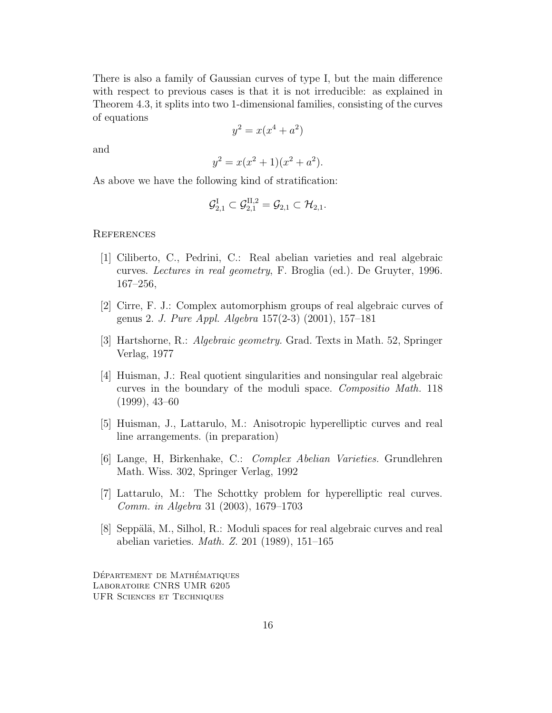There is also a family of Gaussian curves of type I, but the main difference with respect to previous cases is that it is not irreducible: as explained in Theorem 4.3, it splits into two 1-dimensional families, consisting of the curves of equations

$$
y^2 = x(x^4 + a^2)
$$

and

$$
y^2 = x(x^2 + 1)(x^2 + a^2).
$$

As above we have the following kind of stratification:

$$
\mathcal{G}^{\text{I}}_{2,1} \subset \mathcal{G}^{\text{II},2}_{2,1} = \mathcal{G}_{2,1} \subset \mathcal{H}_{2,1}.
$$

## **REFERENCES**

- [1] Ciliberto, C., Pedrini, C.: Real abelian varieties and real algebraic curves. Lectures in real geometry, F. Broglia (ed.). De Gruyter, 1996. 167–256,
- [2] Cirre, F. J.: Complex automorphism groups of real algebraic curves of genus 2. J. Pure Appl. Algebra 157(2-3) (2001), 157–181
- [3] Hartshorne, R.: Algebraic geometry. Grad. Texts in Math. 52, Springer Verlag, 1977
- [4] Huisman, J.: Real quotient singularities and nonsingular real algebraic curves in the boundary of the moduli space. Compositio Math. 118 (1999), 43–60
- [5] Huisman, J., Lattarulo, M.: Anisotropic hyperelliptic curves and real line arrangements. (in preparation)
- [6] Lange, H, Birkenhake, C.: Complex Abelian Varieties. Grundlehren Math. Wiss. 302, Springer Verlag, 1992
- [7] Lattarulo, M.: The Schottky problem for hyperelliptic real curves. Comm. in Algebra 31 (2003), 1679–1703
- $[8]$  Seppälä, M., Silhol, R.: Moduli spaces for real algebraic curves and real abelian varieties. Math. Z. 201 (1989), 151–165

DÉPARTEMENT DE MATHÉMATIQUES Laboratoire CNRS UMR 6205 UFR Sciences et Techniques